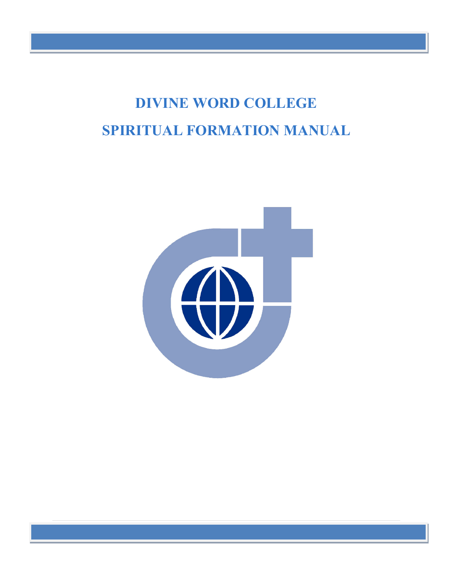# **DIVINE WORD COLLEGE SPIRITUAL FORMATION MANUAL**



**1** Revised 2020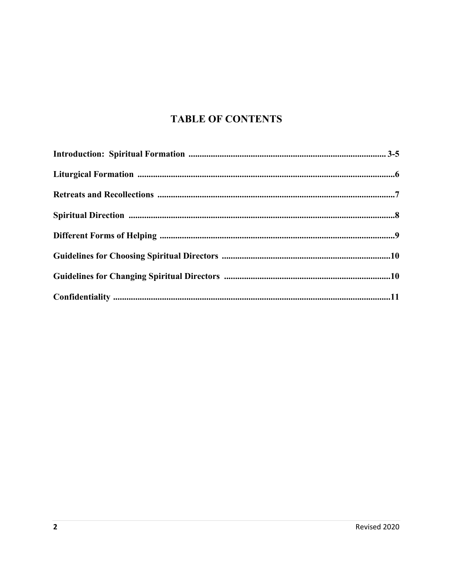# **TABLE OF CONTENTS**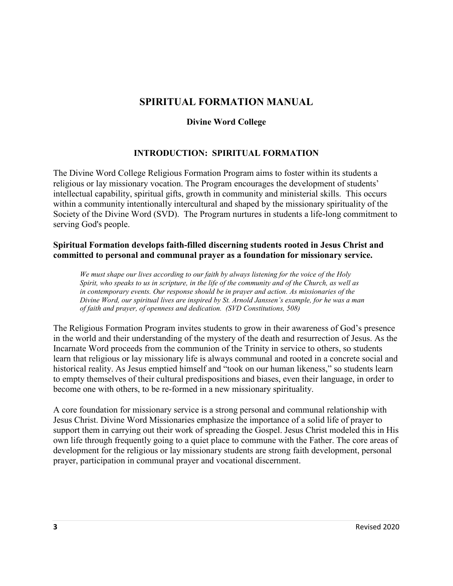# **SPIRITUAL FORMATION MANUAL**

## **Divine Word College**

### **INTRODUCTION: SPIRITUAL FORMATION**

The Divine Word College Religious Formation Program aims to foster within its students a religious or lay missionary vocation. The Program encourages the development of students' intellectual capability, spiritual gifts, growth in community and ministerial skills. This occurs within a community intentionally intercultural and shaped by the missionary spirituality of the Society of the Divine Word (SVD). The Program nurtures in students a life-long commitment to serving God's people.

#### **Spiritual Formation develops faith-filled discerning students rooted in Jesus Christ and committed to personal and communal prayer as a foundation for missionary service.**

*We must shape our lives according to our faith by always listening for the voice of the Holy Spirit, who speaks to us in scripture, in the life of the community and of the Church, as well as in contemporary events. Our response should be in prayer and action. As missionaries of the Divine Word, our spiritual lives are inspired by St. Arnold Janssen's example, for he was a man of faith and prayer, of openness and dedication. (SVD Constitutions, 508)*

The Religious Formation Program invites students to grow in their awareness of God's presence in the world and their understanding of the mystery of the death and resurrection of Jesus. As the Incarnate Word proceeds from the communion of the Trinity in service to others, so students learn that religious or lay missionary life is always communal and rooted in a concrete social and historical reality. As Jesus emptied himself and "took on our human likeness," so students learn to empty themselves of their cultural predispositions and biases, even their language, in order to become one with others, to be re-formed in a new missionary spirituality.

A core foundation for missionary service is a strong personal and communal relationship with Jesus Christ. Divine Word Missionaries emphasize the importance of a solid life of prayer to support them in carrying out their work of spreading the Gospel. Jesus Christ modeled this in His own life through frequently going to a quiet place to commune with the Father. The core areas of development for the religious or lay missionary students are strong faith development, personal prayer, participation in communal prayer and vocational discernment.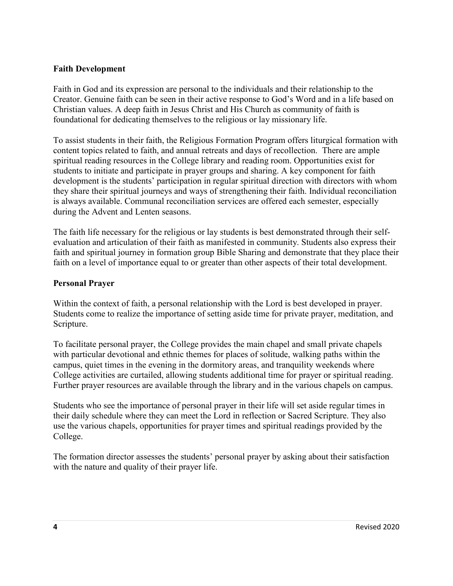#### **Faith Development**

Faith in God and its expression are personal to the individuals and their relationship to the Creator. Genuine faith can be seen in their active response to God's Word and in a life based on Christian values. A deep faith in Jesus Christ and His Church as community of faith is foundational for dedicating themselves to the religious or lay missionary life.

To assist students in their faith, the Religious Formation Program offers liturgical formation with content topics related to faith, and annual retreats and days of recollection. There are ample spiritual reading resources in the College library and reading room. Opportunities exist for students to initiate and participate in prayer groups and sharing. A key component for faith development is the students' participation in regular spiritual direction with directors with whom they share their spiritual journeys and ways of strengthening their faith. Individual reconciliation is always available. Communal reconciliation services are offered each semester, especially during the Advent and Lenten seasons.

The faith life necessary for the religious or lay students is best demonstrated through their selfevaluation and articulation of their faith as manifested in community. Students also express their faith and spiritual journey in formation group Bible Sharing and demonstrate that they place their faith on a level of importance equal to or greater than other aspects of their total development.

#### **Personal Prayer**

Within the context of faith, a personal relationship with the Lord is best developed in prayer. Students come to realize the importance of setting aside time for private prayer, meditation, and Scripture.

To facilitate personal prayer, the College provides the main chapel and small private chapels with particular devotional and ethnic themes for places of solitude, walking paths within the campus, quiet times in the evening in the dormitory areas, and tranquility weekends where College activities are curtailed, allowing students additional time for prayer or spiritual reading. Further prayer resources are available through the library and in the various chapels on campus.

Students who see the importance of personal prayer in their life will set aside regular times in their daily schedule where they can meet the Lord in reflection or Sacred Scripture. They also use the various chapels, opportunities for prayer times and spiritual readings provided by the College.

The formation director assesses the students' personal prayer by asking about their satisfaction with the nature and quality of their prayer life.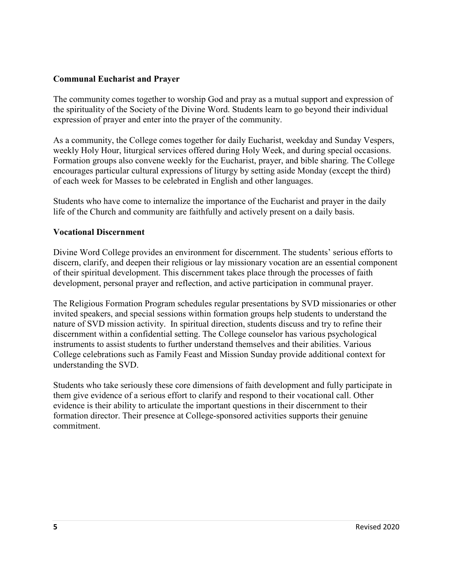#### **Communal Eucharist and Prayer**

The community comes together to worship God and pray as a mutual support and expression of the spirituality of the Society of the Divine Word. Students learn to go beyond their individual expression of prayer and enter into the prayer of the community.

As a community, the College comes together for daily Eucharist, weekday and Sunday Vespers, weekly Holy Hour, liturgical services offered during Holy Week, and during special occasions. Formation groups also convene weekly for the Eucharist, prayer, and bible sharing. The College encourages particular cultural expressions of liturgy by setting aside Monday (except the third) of each week for Masses to be celebrated in English and other languages.

Students who have come to internalize the importance of the Eucharist and prayer in the daily life of the Church and community are faithfully and actively present on a daily basis.

#### **Vocational Discernment**

Divine Word College provides an environment for discernment. The students' serious efforts to discern, clarify, and deepen their religious or lay missionary vocation are an essential component of their spiritual development. This discernment takes place through the processes of faith development, personal prayer and reflection, and active participation in communal prayer.

The Religious Formation Program schedules regular presentations by SVD missionaries or other invited speakers, and special sessions within formation groups help students to understand the nature of SVD mission activity. In spiritual direction, students discuss and try to refine their discernment within a confidential setting. The College counselor has various psychological instruments to assist students to further understand themselves and their abilities. Various College celebrations such as Family Feast and Mission Sunday provide additional context for understanding the SVD.

Students who take seriously these core dimensions of faith development and fully participate in them give evidence of a serious effort to clarify and respond to their vocational call. Other evidence is their ability to articulate the important questions in their discernment to their formation director. Their presence at College-sponsored activities supports their genuine commitment.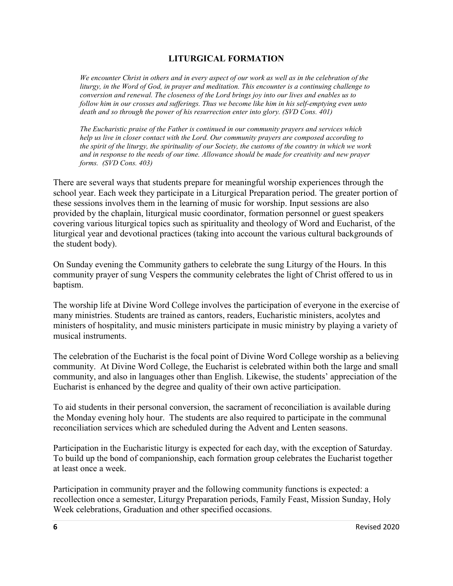#### **LITURGICAL FORMATION**

*We encounter Christ in others and in every aspect of our work as well as in the celebration of the liturgy, in the Word of God, in prayer and meditation. This encounter is a continuing challenge to conversion and renewal. The closeness of the Lord brings joy into our lives and enables us to follow him in our crosses and sufferings. Thus we become like him in his self-emptying even unto death and so through the power of his resurrection enter into glory. (SVD Cons. 401)*

*The Eucharistic praise of the Father is continued in our community prayers and services which help us live in closer contact with the Lord. Our community prayers are composed according to the spirit of the liturgy, the spirituality of our Society, the customs of the country in which we work and in response to the needs of our time. Allowance should be made for creativity and new prayer forms. (SVD Cons. 403)*

There are several ways that students prepare for meaningful worship experiences through the school year. Each week they participate in a Liturgical Preparation period. The greater portion of these sessions involves them in the learning of music for worship. Input sessions are also provided by the chaplain, liturgical music coordinator, formation personnel or guest speakers covering various liturgical topics such as spirituality and theology of Word and Eucharist, of the liturgical year and devotional practices (taking into account the various cultural backgrounds of the student body).

On Sunday evening the Community gathers to celebrate the sung Liturgy of the Hours. In this community prayer of sung Vespers the community celebrates the light of Christ offered to us in baptism.

The worship life at Divine Word College involves the participation of everyone in the exercise of many ministries. Students are trained as cantors, readers, Eucharistic ministers, acolytes and ministers of hospitality, and music ministers participate in music ministry by playing a variety of musical instruments.

The celebration of the Eucharist is the focal point of Divine Word College worship as a believing community. At Divine Word College, the Eucharist is celebrated within both the large and small community, and also in languages other than English. Likewise, the students' appreciation of the Eucharist is enhanced by the degree and quality of their own active participation.

To aid students in their personal conversion, the sacrament of reconciliation is available during the Monday evening holy hour. The students are also required to participate in the communal reconciliation services which are scheduled during the Advent and Lenten seasons.

Participation in the Eucharistic liturgy is expected for each day, with the exception of Saturday. To build up the bond of companionship, each formation group celebrates the Eucharist together at least once a week.

Participation in community prayer and the following community functions is expected: a recollection once a semester, Liturgy Preparation periods, Family Feast, Mission Sunday, Holy Week celebrations, Graduation and other specified occasions.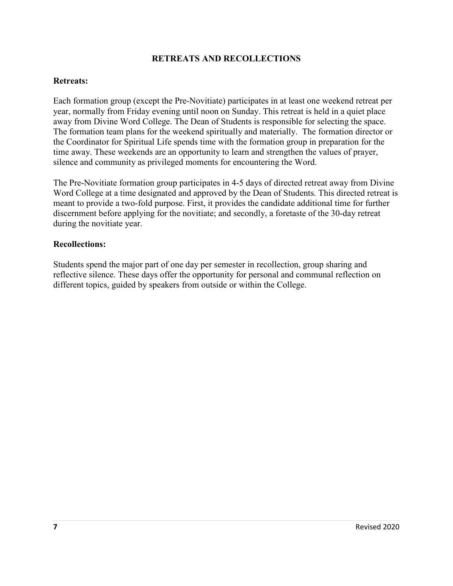#### **RETREATS AND RECOLLECTIONS**

#### **Retreats:**

Each formation group (except the Pre-Novitiate) participates in at least one weekend retreat per year, normally from Friday evening until noon on Sunday. This retreat is held in a quiet place away from Divine Word College. The Dean of Students is responsible for selecting the space. The formation team plans for the weekend spiritually and materially. The formation director or the Coordinator for Spiritual Life spends time with the formation group in preparation for the time away. These weekends are an opportunity to learn and strengthen the values of prayer, silence and community as privileged moments for encountering the Word.

The Pre-Novitiate formation group participates in 4-5 days of directed retreat away from Divine Word College at a time designated and approved by the Dean of Students. This directed retreat is meant to provide a two-fold purpose. First, it provides the candidate additional time for further discernment before applying for the novitiate; and secondly, a foretaste of the 30-day retreat during the novitiate year.

#### **Recollections:**

Students spend the major part of one day per semester in recollection, group sharing and reflective silence. These days offer the opportunity for personal and communal reflection on different topics, guided by speakers from outside or within the College.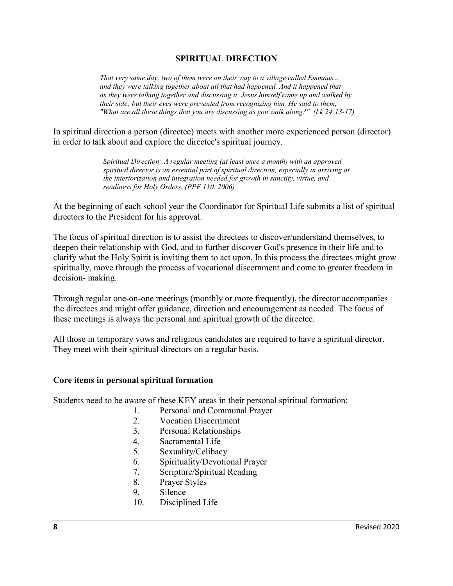#### **SPIRITUAL DIRECTION**

*That very same day, two of them were on their way to a village called Emmaus... and they were talking together about all that had happened. And it happened that as they were talking together and discussing it, Jesus himself came up and walked by their side; but their eyes were prevented from recognizing him. He said to them, "What are all these things that you are discussing as you walk along?" (Lk 24:13-17)*

In spiritual direction a person (directee) meets with another more experienced person (director) in order to talk about and explore the directee's spiritual journey.

> *Spiritual Direction: A regular meeting (at least once a month) with an approved spiritual director is an essential part of spiritual direction, especially in arriving at the interiorization and integration needed for growth in sanctity, virtue, and readiness for Holy Orders. (PPF 110. 2006)*

At the beginning of each school year the Coordinator for Spiritual Life submits a list of spiritual directors to the President for his approval.

The focus of spiritual direction is to assist the directees to discover/understand themselves, to deepen their relationship with God, and to further discover God's presence in their life and to clarify what the Holy Spirit is inviting them to act upon. In this process the directees might grow spiritually, move through the process of vocational discernment and come to greater freedom in decision- making.

Through regular one-on-one meetings (monthly or more frequently), the director accompanies the directees and might offer guidance, direction and encouragement as needed. The focus of these meetings is always the personal and spiritual growth of the directee.

All those in temporary vows and religious candidates are required to have a spiritual director. They meet with their spiritual directors on a regular basis.

#### **Core items in personal spiritual formation**

Students need to be aware of these KEY areas in their personal spiritual formation:

- 1. Personal and Communal Prayer
- 2. Vocation Discernment
- 3. Personal Relationships
- 4. Sacramental Life
- 5. Sexuality/Celibacy
- 6. Spirituality/Devotional Prayer
- 7. Scripture/Spiritual Reading
- 8. Prayer Styles
- 9. Silence
- 10. Disciplined Life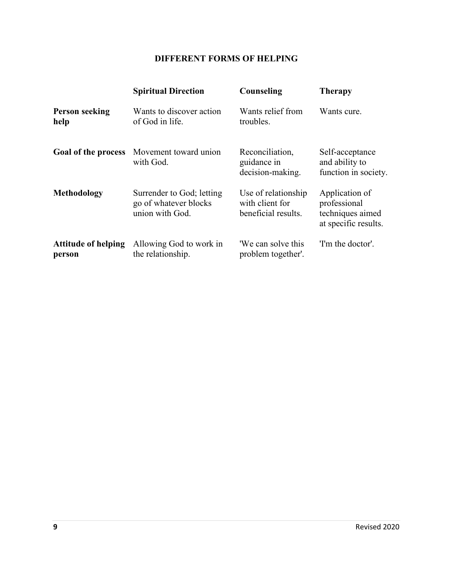# **DIFFERENT FORMS OF HELPING**

|                                      | <b>Spiritual Direction</b>                                            | Counseling                                                    | <b>Therapy</b>                                                             |
|--------------------------------------|-----------------------------------------------------------------------|---------------------------------------------------------------|----------------------------------------------------------------------------|
| <b>Person seeking</b><br>help        | Wants to discover action<br>of God in life.                           | Wants relief from<br>troubles.                                | Wants cure.                                                                |
| Goal of the process                  | Movement toward union<br>with God.                                    | Reconciliation,<br>guidance in<br>decision-making.            | Self-acceptance<br>and ability to<br>function in society.                  |
| <b>Methodology</b>                   | Surrender to God; letting<br>go of whatever blocks<br>union with God. | Use of relationship<br>with client for<br>beneficial results. | Application of<br>professional<br>techniques aimed<br>at specific results. |
| <b>Attitude of helping</b><br>person | Allowing God to work in<br>the relationship.                          | 'We can solve this<br>problem together'.                      | 'I'm the doctor'.                                                          |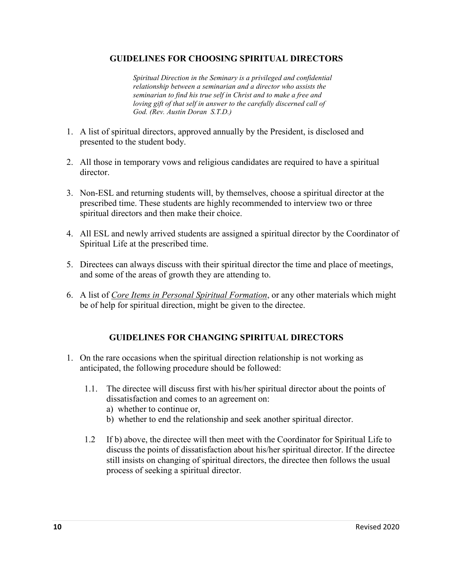#### **GUIDELINES FOR CHOOSING SPIRITUAL DIRECTORS**

*Spiritual Direction in the Seminary is a privileged and confidential relationship between a seminarian and a director who assists the seminarian to find his true self in Christ and to make a free and loving gift of that self in answer to the carefully discerned call of God. (Rev. Austin Doran S.T.D.)*

- 1. A list of spiritual directors, approved annually by the President, is disclosed and presented to the student body.
- 2. All those in temporary vows and religious candidates are required to have a spiritual director.
- 3. Non-ESL and returning students will, by themselves, choose a spiritual director at the prescribed time. These students are highly recommended to interview two or three spiritual directors and then make their choice.
- 4. All ESL and newly arrived students are assigned a spiritual director by the Coordinator of Spiritual Life at the prescribed time.
- 5. Directees can always discuss with their spiritual director the time and place of meetings, and some of the areas of growth they are attending to.
- 6. A list of *Core Items in Personal Spiritual Formation*, or any other materials which might be of help for spiritual direction, might be given to the directee.

#### **GUIDELINES FOR CHANGING SPIRITUAL DIRECTORS**

- 1. On the rare occasions when the spiritual direction relationship is not working as anticipated, the following procedure should be followed:
	- 1.1. The directee will discuss first with his/her spiritual director about the points of dissatisfaction and comes to an agreement on:
		- a) whether to continue or,
		- b) whether to end the relationship and seek another spiritual director.
	- 1.2 If b) above, the directee will then meet with the Coordinator for Spiritual Life to discuss the points of dissatisfaction about his/her spiritual director. If the directee still insists on changing of spiritual directors, the directee then follows the usual process of seeking a spiritual director.